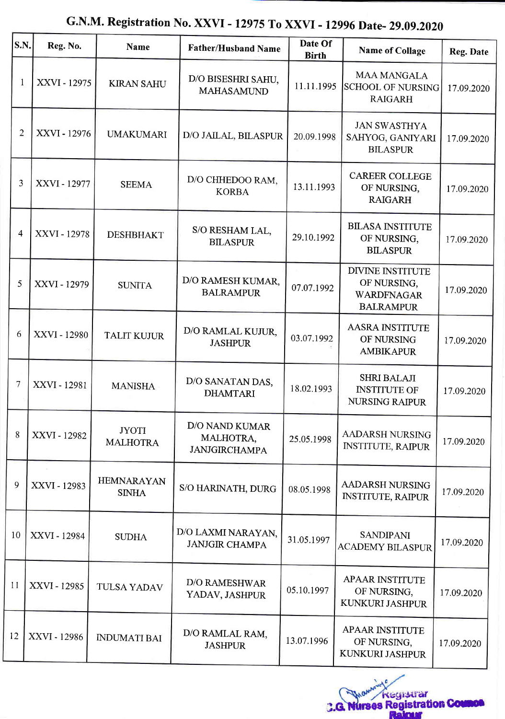## S.N. Reg. No. Name Rather/Husband Name Date Of Birth Name of Collage Reg. Date  $1 \mid$  XXVI - 12975 KIRAN SAHU  $\mid$  D/O BISESHRI SAHU, MAHASAMUND  $11.11.1995$ MAA MANGALA SCHOOL OF NURSING RAIGARH 17.09.2020 2 | XXVI - 12976 | UMAKUMARI | D/O JAILAL, BILASPUR | 20.09.1998 JAN SWASTIIYA SAHYOG, GANIYARI BILASPUR 17.09.2020  $3 \begin{array}{|c|c|c|c|c|} \hline & & \text{XXVI - 12977} & & \text{SEEMA} & & \text{DOCHHEDOO RAM}, \ \hline & & & \text{KORBA} & & \hline \end{array}$ 13.11.1993 CAREER COLLEGE OF NURSING, RAIGARH 17.09.2020  $4$   $\vert$  XXVI - 12978 DESHBHAKT  $\vert$  S/O RESHAM LAL, BILASPUR 29.10.1992 **BILASA INSTITUTE** OF NURSING, **BILASPUR** 17.09.2020  $5 \mid$  XXVI - 12979 SUNITA D/O RAMESH KUMAR,  $BALRAMPIIR$  07.07.1992 DTVINE INSTITUTE OF NURSING, WARDFNAGAR BALRAMPIJR t7.09.2020  $6 \left[\text{XXVI - 12980} \right]$  TALIT KUJUR  $\left[\text{D/O RAMLAL KULUR,} \right]$  03.07.1992 **AASRA INSTITUTE** OF NURSING AMBIKAPUR 17.09.2020  $7 \mid$  XXVI - 12981 MANISHA  $\mid$  D/O SANATAN DAS, DHAMTARI 18.02.1993 SHRI BALAJI INSTITUTE OF NURSING RAIPUR 17.09.2020  $8 \mid$ XXVI - 12982 JYOTI MAIHOTRA D/O NAND KUMAR MALHOTRA, **JANJGIRCHAMPA**  $25.05.1998$  AADARSH NURSING INSTITUTE, RAIPUR 17.09.2020  $9$  XXVI - 12983 HEMNARAYAN S/O HARINATH, DURG  $\Big| 08.05.1998 \Big|$  AADARSH NURSING INSTITUTE, RAIPUR 17.09.2020 <sup>10</sup> xxvr - <sup>12984</sup> SUDIIA D/O LAXMI NARAYAN, O LAXMI NARAYAN, 31.05.1997 SANDIPANI<br>JANJGIR CHAMPA 31.05.1997 ACADEMY BILAS  $ACADEMY BLASPUR$  17.09.2020 <sup>11</sup> xxu - 1298s TULSA YADAV D/O RAMESHWAR  $YADAV, JASHPUR$  05.10.1997 APAAR INSTITUTE OF NURSING, KUNKURI JASHPUR 17.09.2020  $12$  XXVI - 12986 **INDUMATI BAI**  $\overline{D/O}$  RAMLAL RAM, JASHPUR 13.07.1996 APAAR INSTITUTE OF NURSING, KUNKURI JASHPUR 17.09.2020 **JASHPUR**

## G.N.M. Registration No. XXVI - 12975 To XXVI - 12996 Date- 29.09.2020

**Change Registrar**<br>**C.G. Nurses Registration Court**